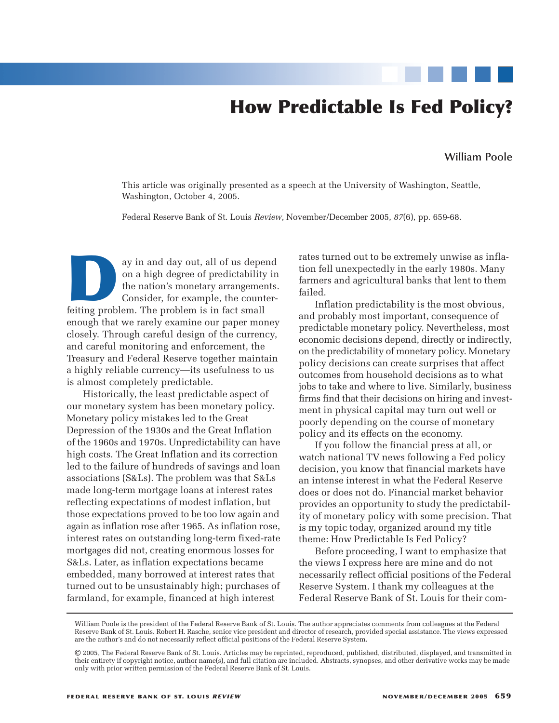# **How Predictable Is Fed Policy?**

#### **William Poole**

This article was originally presented as a speech at the University of Washington, Seattle, Washington, October 4, 2005.

Federal Reserve Bank of St. Louis *Review*, November/December 2005, *87*(6), pp. 659-68.

ay in and day out, all of us depend<br>on a high degree of predictability in<br>the nation's monetary arrangements<br>Consider, for example, the counter-<br>feiting problem. The problem is in fact small on a high degree of predictability in the nation's monetary arrangements. Consider, for example, the counterenough that we rarely examine our paper money closely. Through careful design of the currency, and careful monitoring and enforcement, the Treasury and Federal Reserve together maintain a highly reliable currency—its usefulness to us is almost completely predictable.

Historically, the least predictable aspect of our monetary system has been monetary policy. Monetary policy mistakes led to the Great Depression of the 1930s and the Great Inflation of the 1960s and 1970s. Unpredictability can have high costs. The Great Inflation and its correction led to the failure of hundreds of savings and loan associations (S&Ls). The problem was that S&Ls made long-term mortgage loans at interest rates reflecting expectations of modest inflation, but those expectations proved to be too low again and again as inflation rose after 1965. As inflation rose, interest rates on outstanding long-term fixed-rate mortgages did not, creating enormous losses for S&Ls. Later, as inflation expectations became embedded, many borrowed at interest rates that turned out to be unsustainably high; purchases of farmland, for example, financed at high interest

rates turned out to be extremely unwise as inflation fell unexpectedly in the early 1980s. Many farmers and agricultural banks that lent to them failed.

Inflation predictability is the most obvious, and probably most important, consequence of predictable monetary policy. Nevertheless, most economic decisions depend, directly or indirectly, on the predictability of monetary policy. Monetary policy decisions can create surprises that affect outcomes from household decisions as to what jobs to take and where to live. Similarly, business firms find that their decisions on hiring and investment in physical capital may turn out well or poorly depending on the course of monetary policy and its effects on the economy.

If you follow the financial press at all, or watch national TV news following a Fed policy decision, you know that financial markets have an intense interest in what the Federal Reserve does or does not do. Financial market behavior provides an opportunity to study the predictability of monetary policy with some precision. That is my topic today, organized around my title theme: How Predictable Is Fed Policy?

Before proceeding, I want to emphasize that the views I express here are mine and do not necessarily reflect official positions of the Federal Reserve System. I thank my colleagues at the Federal Reserve Bank of St. Louis for their com-

William Poole is the president of the Federal Reserve Bank of St. Louis. The author appreciates comments from colleagues at the Federal Reserve Bank of St. Louis. Robert H. Rasche, senior vice president and director of research, provided special assistance. The views expressed are the author's and do not necessarily reflect official positions of the Federal Reserve System.

<sup>©</sup> 2005, The Federal Reserve Bank of St. Louis. Articles may be reprinted, reproduced, published, distributed, displayed, and transmitted in their entirety if copyright notice, author name(s), and full citation are included. Abstracts, synopses, and other derivative works may be made only with prior written permission of the Federal Reserve Bank of St. Louis.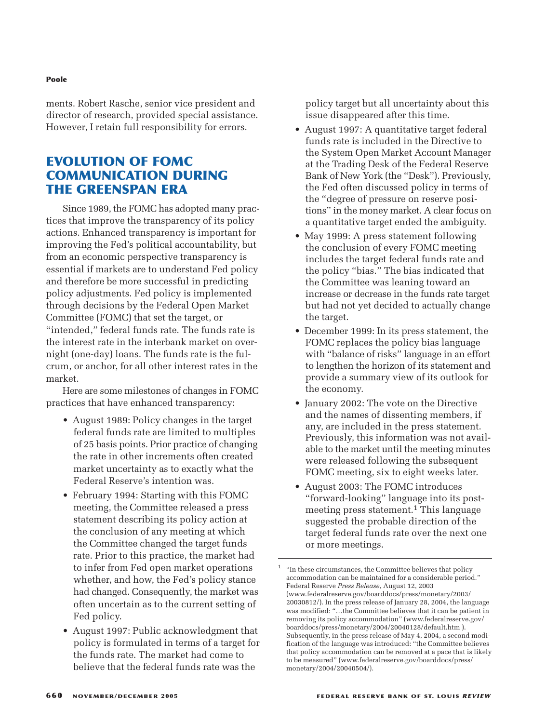#### **Poole**

ments. Robert Rasche, senior vice president and director of research, provided special assistance. However, I retain full responsibility for errors.

# **EVOLUTION OF FOMC COMMUNICATION DURING THE GREENSPAN ERA**

Since 1989, the FOMC has adopted many practices that improve the transparency of its policy actions. Enhanced transparency is important for improving the Fed's political accountability, but from an economic perspective transparency is essential if markets are to understand Fed policy and therefore be more successful in predicting policy adjustments. Fed policy is implemented through decisions by the Federal Open Market Committee (FOMC) that set the target, or "intended," federal funds rate. The funds rate is the interest rate in the interbank market on overnight (one-day) loans. The funds rate is the fulcrum, or anchor, for all other interest rates in the market.

Here are some milestones of changes in FOMC practices that have enhanced transparency:

- August 1989: Policy changes in the target federal funds rate are limited to multiples of 25 basis points. Prior practice of changing the rate in other increments often created market uncertainty as to exactly what the Federal Reserve's intention was.
- February 1994: Starting with this FOMC meeting, the Committee released a press statement describing its policy action at the conclusion of any meeting at which the Committee changed the target funds rate. Prior to this practice, the market had to infer from Fed open market operations whether, and how, the Fed's policy stance had changed. Consequently, the market was often uncertain as to the current setting of Fed policy.
- August 1997: Public acknowledgment that policy is formulated in terms of a target for the funds rate. The market had come to believe that the federal funds rate was the

policy target but all uncertainty about this issue disappeared after this time.

- August 1997: A quantitative target federal funds rate is included in the Directive to the System Open Market Account Manager at the Trading Desk of the Federal Reserve Bank of New York (the "Desk"). Previously, the Fed often discussed policy in terms of the "degree of pressure on reserve positions" in the money market. A clear focus on a quantitative target ended the ambiguity.
- May 1999: A press statement following the conclusion of every FOMC meeting includes the target federal funds rate and the policy "bias." The bias indicated that the Committee was leaning toward an increase or decrease in the funds rate target but had not yet decided to actually change the target.
- December 1999: In its press statement, the FOMC replaces the policy bias language with "balance of risks" language in an effort to lengthen the horizon of its statement and provide a summary view of its outlook for the economy.
- January 2002: The vote on the Directive and the names of dissenting members, if any, are included in the press statement. Previously, this information was not available to the market until the meeting minutes were released following the subsequent FOMC meeting, six to eight weeks later.
- August 2003: The FOMC introduces "forward-looking" language into its postmeeting press statement.<sup>1</sup> This language suggested the probable direction of the target federal funds rate over the next one or more meetings.

 $^{\rm 1}~$  "In these circumstances, the Committee believes that policy accommodation can be maintained for a considerable period." Federal Reserve *Press Release*, August 12, 2003 (www.federalreserve.gov/boarddocs/press/monetary/2003/ 20030812/). In the press release of January 28, 2004, the language was modified: "…the Committee believes that it can be patient in removing its policy accommodation" (www.federalreserve.gov/ boarddocs/press/monetary/2004/20040128/default.htm ). Subsequently, in the press release of May 4, 2004, a second modification of the language was introduced: "the Committee believes that policy accommodation can be removed at a pace that is likely to be measured" (www.federalreserve.gov/boarddocs/press/ monetary/2004/20040504/).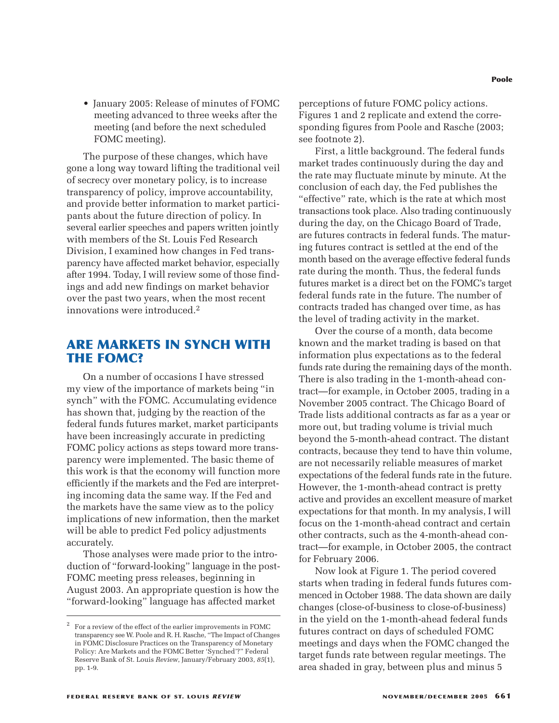• January 2005: Release of minutes of FOMC meeting advanced to three weeks after the meeting (and before the next scheduled FOMC meeting).

The purpose of these changes, which have gone a long way toward lifting the traditional veil of secrecy over monetary policy, is to increase transparency of policy, improve accountability, and provide better information to market participants about the future direction of policy. In several earlier speeches and papers written jointly with members of the St. Louis Fed Research Division, I examined how changes in Fed transparency have affected market behavior, especially after 1994. Today, I will review some of those findings and add new findings on market behavior over the past two years, when the most recent innovations were introduced.2

# **ARE MARKETS IN SYNCH WITH THE FOMC?**

On a number of occasions I have stressed my view of the importance of markets being "in synch" with the FOMC. Accumulating evidence has shown that, judging by the reaction of the federal funds futures market, market participants have been increasingly accurate in predicting FOMC policy actions as steps toward more transparency were implemented. The basic theme of this work is that the economy will function more efficiently if the markets and the Fed are interpreting incoming data the same way. If the Fed and the markets have the same view as to the policy implications of new information, then the market will be able to predict Fed policy adjustments accurately.

Those analyses were made prior to the introduction of "forward-looking" language in the post-FOMC meeting press releases, beginning in August 2003. An appropriate question is how the "forward-looking" language has affected market

perceptions of future FOMC policy actions. Figures 1 and 2 replicate and extend the corresponding figures from Poole and Rasche (2003; see footnote 2).

First, a little background. The federal funds market trades continuously during the day and the rate may fluctuate minute by minute. At the conclusion of each day, the Fed publishes the "effective" rate, which is the rate at which most transactions took place. Also trading continuously during the day, on the Chicago Board of Trade, are futures contracts in federal funds. The maturing futures contract is settled at the end of the month based on the average effective federal funds rate during the month. Thus, the federal funds futures market is a direct bet on the FOMC's target federal funds rate in the future. The number of contracts traded has changed over time, as has the level of trading activity in the market.

Over the course of a month, data become known and the market trading is based on that information plus expectations as to the federal funds rate during the remaining days of the month. There is also trading in the 1-month-ahead contract—for example, in October 2005, trading in a November 2005 contract. The Chicago Board of Trade lists additional contracts as far as a year or more out, but trading volume is trivial much beyond the 5-month-ahead contract. The distant contracts, because they tend to have thin volume, are not necessarily reliable measures of market expectations of the federal funds rate in the future. However, the 1-month-ahead contract is pretty active and provides an excellent measure of market expectations for that month. In my analysis, I will focus on the 1-month-ahead contract and certain other contracts, such as the 4-month-ahead contract—for example, in October 2005, the contract for February 2006.

Now look at Figure 1. The period covered starts when trading in federal funds futures commenced in October 1988. The data shown are daily changes (close-of-business to close-of-business) in the yield on the 1-month-ahead federal funds futures contract on days of scheduled FOMC meetings and days when the FOMC changed the target funds rate between regular meetings. The area shaded in gray, between plus and minus 5

<sup>2</sup> For a review of the effect of the earlier improvements in FOMC transparency see W. Poole and R. H. Rasche, "The Impact of Changes in FOMC Disclosure Practices on the Transparency of Monetary Policy: Are Markets and the FOMC Better 'Synched'?" Federal Reserve Bank of St. Louis *Review*, January/February 2003, *85*(1), pp. 1-9.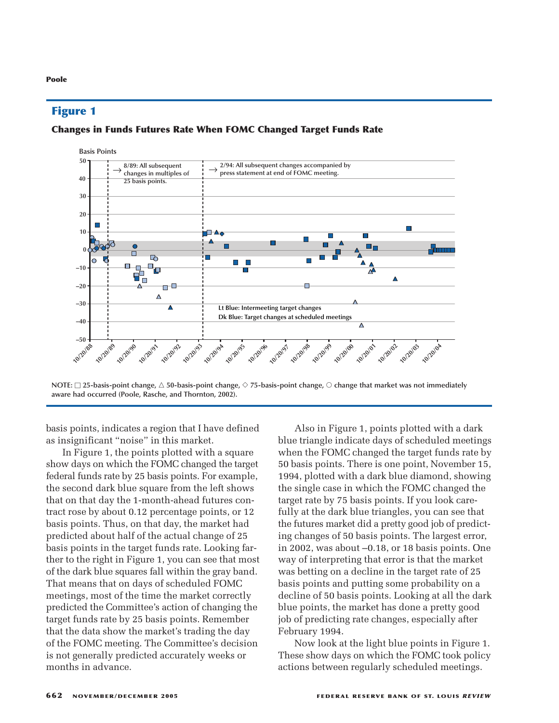**Poole**

## **Changes in Funds Futures Rate When FOMC Changed Target Funds Rate**



**NOTE:** □ 25-basis-point change, △ 50-basis-point change, ◇ 75-basis-point change, ○ change that market was not immediately **aware had occurred (Poole, Rasche, and Thornton, 2002).**

basis points, indicates a region that I have defined as insignificant "noise" in this market.

In Figure 1, the points plotted with a square show days on which the FOMC changed the target federal funds rate by 25 basis points. For example, the second dark blue square from the left shows that on that day the 1-month-ahead futures contract rose by about 0.12 percentage points, or 12 basis points. Thus, on that day, the market had predicted about half of the actual change of 25 basis points in the target funds rate. Looking farther to the right in Figure 1, you can see that most of the dark blue squares fall within the gray band. That means that on days of scheduled FOMC meetings, most of the time the market correctly predicted the Committee's action of changing the target funds rate by 25 basis points. Remember that the data show the market's trading the day of the FOMC meeting. The Committee's decision is not generally predicted accurately weeks or months in advance.

Also in Figure 1, points plotted with a dark blue triangle indicate days of scheduled meetings when the FOMC changed the target funds rate by 50 basis points. There is one point, November 15, 1994, plotted with a dark blue diamond, showing the single case in which the FOMC changed the target rate by 75 basis points. If you look carefully at the dark blue triangles, you can see that the futures market did a pretty good job of predicting changes of 50 basis points. The largest error, in 2002, was about –0.18, or 18 basis points. One way of interpreting that error is that the market was betting on a decline in the target rate of 25 basis points and putting some probability on a decline of 50 basis points. Looking at all the dark blue points, the market has done a pretty good job of predicting rate changes, especially after February 1994.

Now look at the light blue points in Figure 1. These show days on which the FOMC took policy actions between regularly scheduled meetings.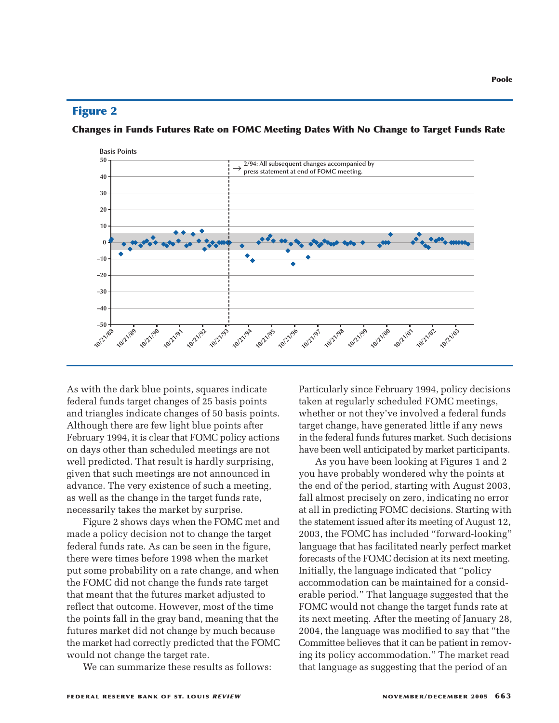**Changes in Funds Futures Rate on FOMC Meeting Dates With No Change to Target Funds Rate**



As with the dark blue points, squares indicate federal funds target changes of 25 basis points and triangles indicate changes of 50 basis points. Although there are few light blue points after February 1994, it is clear that FOMC policy actions on days other than scheduled meetings are not well predicted. That result is hardly surprising, given that such meetings are not announced in advance. The very existence of such a meeting, as well as the change in the target funds rate, necessarily takes the market by surprise.

Figure 2 shows days when the FOMC met and made a policy decision not to change the target federal funds rate. As can be seen in the figure, there were times before 1998 when the market put some probability on a rate change, and when the FOMC did not change the funds rate target that meant that the futures market adjusted to reflect that outcome. However, most of the time the points fall in the gray band, meaning that the futures market did not change by much because the market had correctly predicted that the FOMC would not change the target rate.

We can summarize these results as follows:

Particularly since February 1994, policy decisions taken at regularly scheduled FOMC meetings, whether or not they've involved a federal funds target change, have generated little if any news in the federal funds futures market. Such decisions have been well anticipated by market participants.

As you have been looking at Figures 1 and 2 you have probably wondered why the points at the end of the period, starting with August 2003, fall almost precisely on zero, indicating no error at all in predicting FOMC decisions. Starting with the statement issued after its meeting of August 12, 2003, the FOMC has included "forward-looking" language that has facilitated nearly perfect market forecasts of the FOMC decision at its next meeting. Initially, the language indicated that "policy accommodation can be maintained for a considerable period." That language suggested that the FOMC would not change the target funds rate at its next meeting. After the meeting of January 28, 2004, the language was modified to say that "the Committee believes that it can be patient in removing its policy accommodation." The market read that language as suggesting that the period of an

**Poole**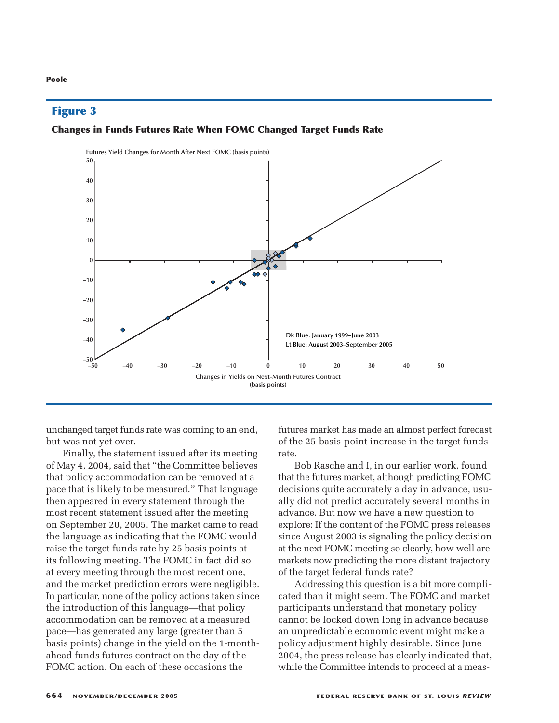#### **Changes in Funds Futures Rate When FOMC Changed Target Funds Rate**



unchanged target funds rate was coming to an end, but was not yet over.

Finally, the statement issued after its meeting of May 4, 2004, said that "the Committee believes that policy accommodation can be removed at a pace that is likely to be measured." That language then appeared in every statement through the most recent statement issued after the meeting on September 20, 2005. The market came to read the language as indicating that the FOMC would raise the target funds rate by 25 basis points at its following meeting. The FOMC in fact did so at every meeting through the most recent one, and the market prediction errors were negligible. In particular, none of the policy actions taken since the introduction of this language—that policy accommodation can be removed at a measured pace—has generated any large (greater than 5 basis points) change in the yield on the 1-monthahead funds futures contract on the day of the FOMC action. On each of these occasions the

futures market has made an almost perfect forecast of the 25-basis-point increase in the target funds rate.

Bob Rasche and I, in our earlier work, found that the futures market, although predicting FOMC decisions quite accurately a day in advance, usually did not predict accurately several months in advance. But now we have a new question to explore: If the content of the FOMC press releases since August 2003 is signaling the policy decision at the next FOMC meeting so clearly, how well are markets now predicting the more distant trajectory of the target federal funds rate?

Addressing this question is a bit more complicated than it might seem. The FOMC and market participants understand that monetary policy cannot be locked down long in advance because an unpredictable economic event might make a policy adjustment highly desirable. Since June 2004, the press release has clearly indicated that, while the Committee intends to proceed at a meas-

#### **Poole**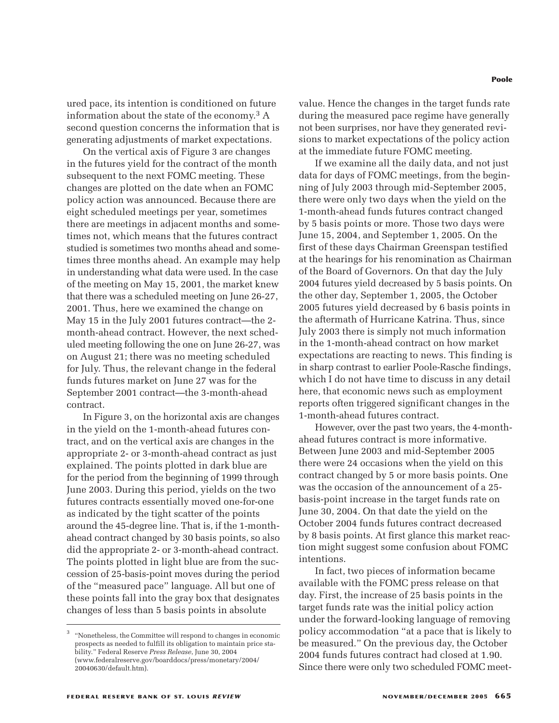ured pace, its intention is conditioned on future information about the state of the economy.<sup>3</sup>  $A$ second question concerns the information that is generating adjustments of market expectations.

On the vertical axis of Figure 3 are changes in the futures yield for the contract of the month subsequent to the next FOMC meeting. These changes are plotted on the date when an FOMC policy action was announced. Because there are eight scheduled meetings per year, sometimes there are meetings in adjacent months and sometimes not, which means that the futures contract studied is sometimes two months ahead and sometimes three months ahead. An example may help in understanding what data were used. In the case of the meeting on May 15, 2001, the market knew that there was a scheduled meeting on June 26-27, 2001. Thus, here we examined the change on May 15 in the July 2001 futures contract—the 2 month-ahead contract. However, the next scheduled meeting following the one on June 26-27, was on August 21; there was no meeting scheduled for July. Thus, the relevant change in the federal funds futures market on June 27 was for the September 2001 contract—the 3-month-ahead contract.

In Figure 3, on the horizontal axis are changes in the yield on the 1-month-ahead futures contract, and on the vertical axis are changes in the appropriate 2- or 3-month-ahead contract as just explained. The points plotted in dark blue are for the period from the beginning of 1999 through June 2003. During this period, yields on the two futures contracts essentially moved one-for-one as indicated by the tight scatter of the points around the 45-degree line. That is, if the 1-monthahead contract changed by 30 basis points, so also did the appropriate 2- or 3-month-ahead contract. The points plotted in light blue are from the succession of 25-basis-point moves during the period of the "measured pace" language. All but one of these points fall into the gray box that designates changes of less than 5 basis points in absolute

**Poole**

value. Hence the changes in the target funds rate during the measured pace regime have generally not been surprises, nor have they generated revisions to market expectations of the policy action at the immediate future FOMC meeting.

If we examine all the daily data, and not just data for days of FOMC meetings, from the beginning of July 2003 through mid-September 2005, there were only two days when the yield on the 1-month-ahead funds futures contract changed by 5 basis points or more. Those two days were June 15, 2004, and September 1, 2005. On the first of these days Chairman Greenspan testified at the hearings for his renomination as Chairman of the Board of Governors. On that day the July 2004 futures yield decreased by 5 basis points. On the other day, September 1, 2005, the October 2005 futures yield decreased by 6 basis points in the aftermath of Hurricane Katrina. Thus, since July 2003 there is simply not much information in the 1-month-ahead contract on how market expectations are reacting to news. This finding is in sharp contrast to earlier Poole-Rasche findings, which I do not have time to discuss in any detail here, that economic news such as employment reports often triggered significant changes in the 1-month-ahead futures contract.

However, over the past two years, the 4-monthahead futures contract is more informative. Between June 2003 and mid-September 2005 there were 24 occasions when the yield on this contract changed by 5 or more basis points. One was the occasion of the announcement of a 25 basis-point increase in the target funds rate on June 30, 2004. On that date the yield on the October 2004 funds futures contract decreased by 8 basis points. At first glance this market reaction might suggest some confusion about FOMC intentions.

In fact, two pieces of information became available with the FOMC press release on that day. First, the increase of 25 basis points in the target funds rate was the initial policy action under the forward-looking language of removing policy accommodation "at a pace that is likely to be measured." On the previous day, the October 2004 funds futures contract had closed at 1.90. Since there were only two scheduled FOMC meet-

<sup>3</sup> "Nonetheless, the Committee will respond to changes in economic prospects as needed to fulfill its obligation to maintain price stability." Federal Reserve *Press Release*, June 30, 2004 (www.federalreserve.gov/boarddocs/press/monetary/2004/ 20040630/default.htm).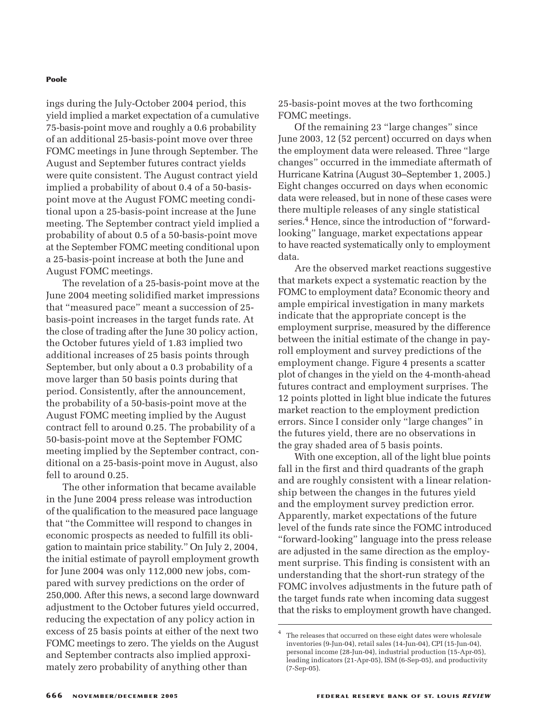#### **Poole**

ings during the July-October 2004 period, this yield implied a market expectation of a cumulative 75-basis-point move and roughly a 0.6 probability of an additional 25-basis-point move over three FOMC meetings in June through September. The August and September futures contract yields were quite consistent. The August contract yield implied a probability of about 0.4 of a 50-basispoint move at the August FOMC meeting conditional upon a 25-basis-point increase at the June meeting. The September contract yield implied a probability of about 0.5 of a 50-basis-point move at the September FOMC meeting conditional upon a 25-basis-point increase at both the June and August FOMC meetings.

The revelation of a 25-basis-point move at the June 2004 meeting solidified market impressions that "measured pace" meant a succession of 25 basis-point increases in the target funds rate. At the close of trading after the June 30 policy action, the October futures yield of 1.83 implied two additional increases of 25 basis points through September, but only about a 0.3 probability of a move larger than 50 basis points during that period. Consistently, after the announcement, the probability of a 50-basis-point move at the August FOMC meeting implied by the August contract fell to around 0.25. The probability of a 50-basis-point move at the September FOMC meeting implied by the September contract, conditional on a 25-basis-point move in August, also fell to around 0.25.

The other information that became available in the June 2004 press release was introduction of the qualification to the measured pace language that "the Committee will respond to changes in economic prospects as needed to fulfill its obligation to maintain price stability." On July 2, 2004, the initial estimate of payroll employment growth for June 2004 was only 112,000 new jobs, compared with survey predictions on the order of 250,000. After this news, a second large downward adjustment to the October futures yield occurred, reducing the expectation of any policy action in excess of 25 basis points at either of the next two FOMC meetings to zero. The yields on the August and September contracts also implied approximately zero probability of anything other than

25-basis-point moves at the two forthcoming FOMC meetings.

Of the remaining 23 "large changes" since June 2003, 12 (52 percent) occurred on days when the employment data were released. Three "large changes" occurred in the immediate aftermath of Hurricane Katrina (August 30–September 1, 2005.) Eight changes occurred on days when economic data were released, but in none of these cases were there multiple releases of any single statistical series.<sup>4</sup> Hence, since the introduction of "forwardlooking" language, market expectations appear to have reacted systematically only to employment data.

Are the observed market reactions suggestive that markets expect a systematic reaction by the FOMC to employment data? Economic theory and ample empirical investigation in many markets indicate that the appropriate concept is the employment surprise, measured by the difference between the initial estimate of the change in payroll employment and survey predictions of the employment change. Figure 4 presents a scatter plot of changes in the yield on the 4-month-ahead futures contract and employment surprises. The 12 points plotted in light blue indicate the futures market reaction to the employment prediction errors. Since I consider only "large changes" in the futures yield, there are no observations in the gray shaded area of 5 basis points.

With one exception, all of the light blue points fall in the first and third quadrants of the graph and are roughly consistent with a linear relationship between the changes in the futures yield and the employment survey prediction error. Apparently, market expectations of the future level of the funds rate since the FOMC introduced "forward-looking" language into the press release are adjusted in the same direction as the employment surprise. This finding is consistent with an understanding that the short-run strategy of the FOMC involves adjustments in the future path of the target funds rate when incoming data suggest that the risks to employment growth have changed.

The releases that occurred on these eight dates were wholesale inventories (9-Jun-04), retail sales (14-Jun-04), CPI (15-Jun-04), personal income (28-Jun-04), industrial production (15-Apr-05), leading indicators (21-Apr-05), ISM (6-Sep-05), and productivity (7-Sep-05).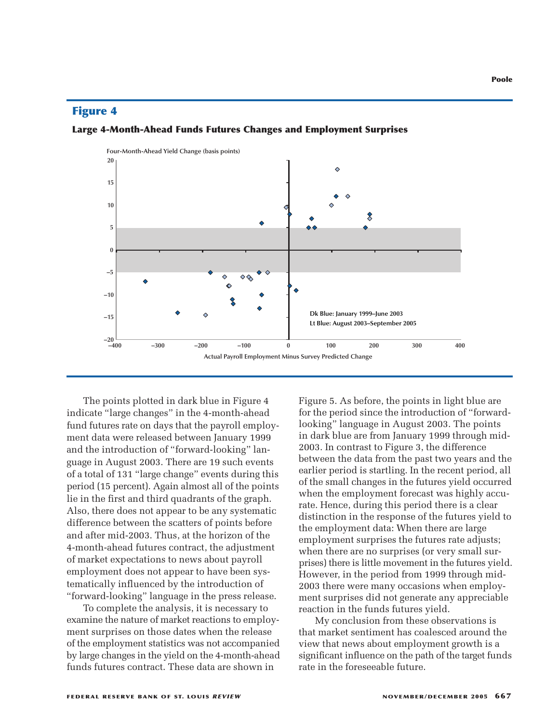



The points plotted in dark blue in Figure 4 indicate "large changes" in the 4-month-ahead fund futures rate on days that the payroll employment data were released between January 1999 and the introduction of "forward-looking" language in August 2003. There are 19 such events of a total of 131 "large change" events during this period (15 percent). Again almost all of the points lie in the first and third quadrants of the graph. Also, there does not appear to be any systematic difference between the scatters of points before and after mid-2003. Thus, at the horizon of the 4-month-ahead futures contract, the adjustment of market expectations to news about payroll employment does not appear to have been systematically influenced by the introduction of "forward-looking" language in the press release.

To complete the analysis, it is necessary to examine the nature of market reactions to employment surprises on those dates when the release of the employment statistics was not accompanied by large changes in the yield on the 4-month-ahead funds futures contract. These data are shown in

Figure 5. As before, the points in light blue are for the period since the introduction of "forwardlooking" language in August 2003. The points in dark blue are from January 1999 through mid-2003. In contrast to Figure 3, the difference between the data from the past two years and the earlier period is startling. In the recent period, all of the small changes in the futures yield occurred when the employment forecast was highly accurate. Hence, during this period there is a clear distinction in the response of the futures yield to the employment data: When there are large employment surprises the futures rate adjusts; when there are no surprises (or very small surprises) there is little movement in the futures yield. However, in the period from 1999 through mid-2003 there were many occasions when employment surprises did not generate any appreciable reaction in the funds futures yield.

My conclusion from these observations is that market sentiment has coalesced around the view that news about employment growth is a significant influence on the path of the target funds rate in the foreseeable future.